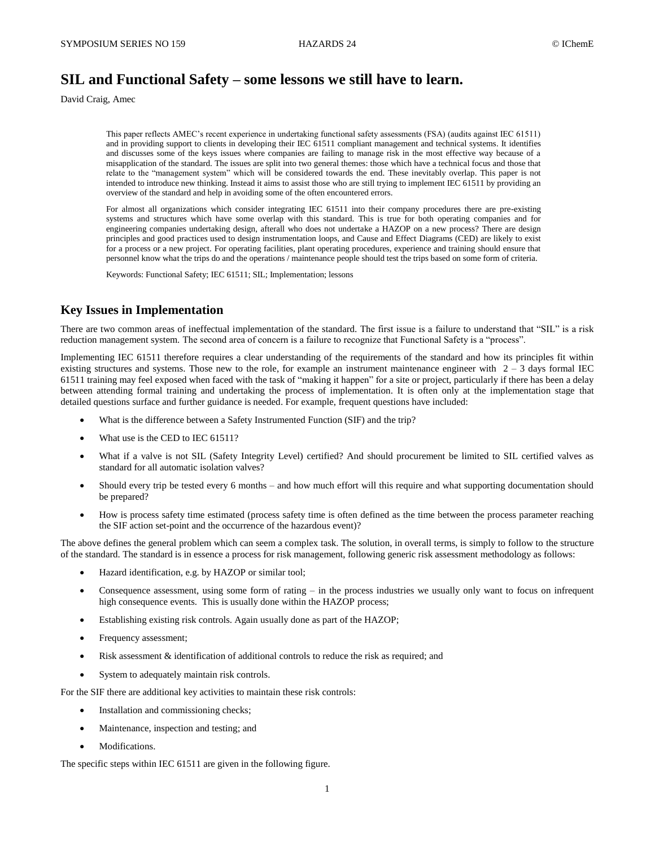# **SIL and Functional Safety – some lessons we still have to learn.**

David Craig, Amec

This paper reflects AMEC's recent experience in undertaking functional safety assessments (FSA) (audits against IEC 61511) and in providing support to clients in developing their IEC 61511 compliant management and technical systems. It identifies and discusses some of the keys issues where companies are failing to manage risk in the most effective way because of a misapplication of the standard. The issues are split into two general themes: those which have a technical focus and those that relate to the "management system" which will be considered towards the end. These inevitably overlap. This paper is not intended to introduce new thinking. Instead it aims to assist those who are still trying to implement IEC 61511 by providing an overview of the standard and help in avoiding some of the often encountered errors.

For almost all organizations which consider integrating IEC 61511 into their company procedures there are pre-existing systems and structures which have some overlap with this standard. This is true for both operating companies and for engineering companies undertaking design, afterall who does not undertake a HAZOP on a new process? There are design principles and good practices used to design instrumentation loops, and Cause and Effect Diagrams (CED) are likely to exist for a process or a new project. For operating facilities, plant operating procedures, experience and training should ensure that personnel know what the trips do and the operations / maintenance people should test the trips based on some form of criteria.

Keywords: Functional Safety; IEC 61511; SIL; Implementation; lessons

#### **Key Issues in Implementation**

There are two common areas of ineffectual implementation of the standard. The first issue is a failure to understand that "SIL" is a risk reduction management system. The second area of concern is a failure to recognize that Functional Safety is a "process".

Implementing IEC 61511 therefore requires a clear understanding of the requirements of the standard and how its principles fit within existing structures and systems. Those new to the role, for example an instrument maintenance engineer with  $2 - 3$  days formal IEC 61511 training may feel exposed when faced with the task of "making it happen" for a site or project, particularly if there has been a delay between attending formal training and undertaking the process of implementation. It is often only at the implementation stage that detailed questions surface and further guidance is needed. For example, frequent questions have included:

- What is the difference between a Safety Instrumented Function (SIF) and the trip?
- What use is the CED to IEC 61511?
- What if a valve is not SIL (Safety Integrity Level) certified? And should procurement be limited to SIL certified valves as standard for all automatic isolation valves?
- Should every trip be tested every 6 months and how much effort will this require and what supporting documentation should be prepared?
- How is process safety time estimated (process safety time is often defined as the time between the process parameter reaching the SIF action set-point and the occurrence of the hazardous event)?

The above defines the general problem which can seem a complex task. The solution, in overall terms, is simply to follow to the structure of the standard. The standard is in essence a process for risk management, following generic risk assessment methodology as follows:

- Hazard identification, e.g. by HAZOP or similar tool;
- Consequence assessment, using some form of rating  $-$  in the process industries we usually only want to focus on infrequent high consequence events. This is usually done within the HAZOP process;
- Establishing existing risk controls. Again usually done as part of the HAZOP;
- Frequency assessment;
- Risk assessment & identification of additional controls to reduce the risk as required; and
- System to adequately maintain risk controls.

For the SIF there are additional key activities to maintain these risk controls:

- Installation and commissioning checks;
- Maintenance, inspection and testing; and
- Modifications.

The specific steps within IEC 61511 are given in the following figure.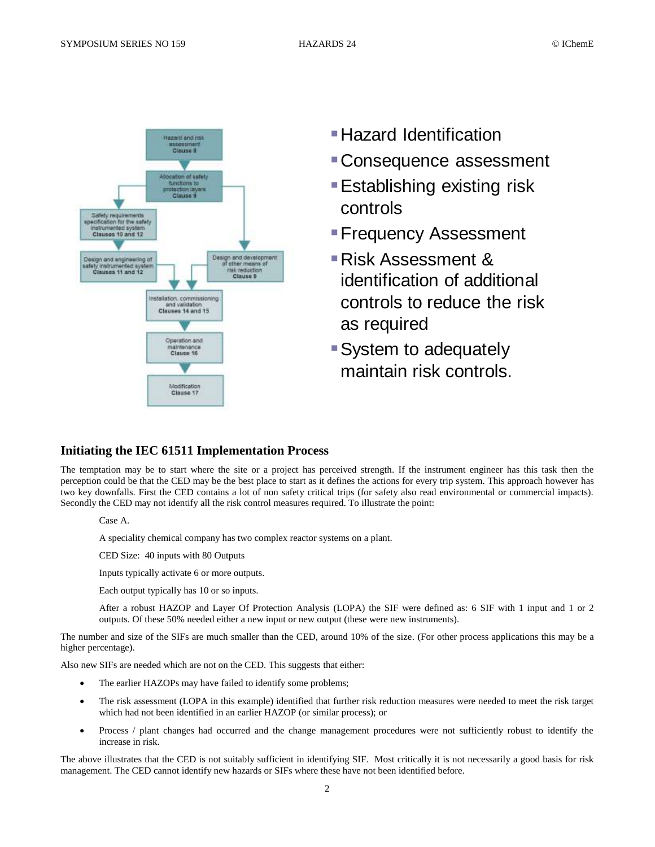

- 
- Consequence assessment
- Establishing existing risk controls
- Frequency Assessment
- Risk Assessment & identification of additional controls to reduce the risk as required
- **System to adequately** maintain risk controls.

# **Initiating the IEC 61511 Implementation Process**

The temptation may be to start where the site or a project has perceived strength. If the instrument engineer has this task then the perception could be that the CED may be the best place to start as it defines the actions for every trip system. This approach however has two key downfalls. First the CED contains a lot of non safety critical trips (for safety also read environmental or commercial impacts). Secondly the CED may not identify all the risk control measures required. To illustrate the point:

Case A.

A speciality chemical company has two complex reactor systems on a plant.

CED Size: 40 inputs with 80 Outputs

Inputs typically activate 6 or more outputs.

Each output typically has 10 or so inputs.

After a robust HAZOP and Layer Of Protection Analysis (LOPA) the SIF were defined as: 6 SIF with 1 input and 1 or 2 outputs. Of these 50% needed either a new input or new output (these were new instruments).

The number and size of the SIFs are much smaller than the CED, around 10% of the size. (For other process applications this may be a higher percentage).

Also new SIFs are needed which are not on the CED. This suggests that either:

- The earlier HAZOPs may have failed to identify some problems;
- The risk assessment (LOPA in this example) identified that further risk reduction measures were needed to meet the risk target which had not been identified in an earlier HAZOP (or similar process); or
- Process / plant changes had occurred and the change management procedures were not sufficiently robust to identify the increase in risk.

The above illustrates that the CED is not suitably sufficient in identifying SIF. Most critically it is not necessarily a good basis for risk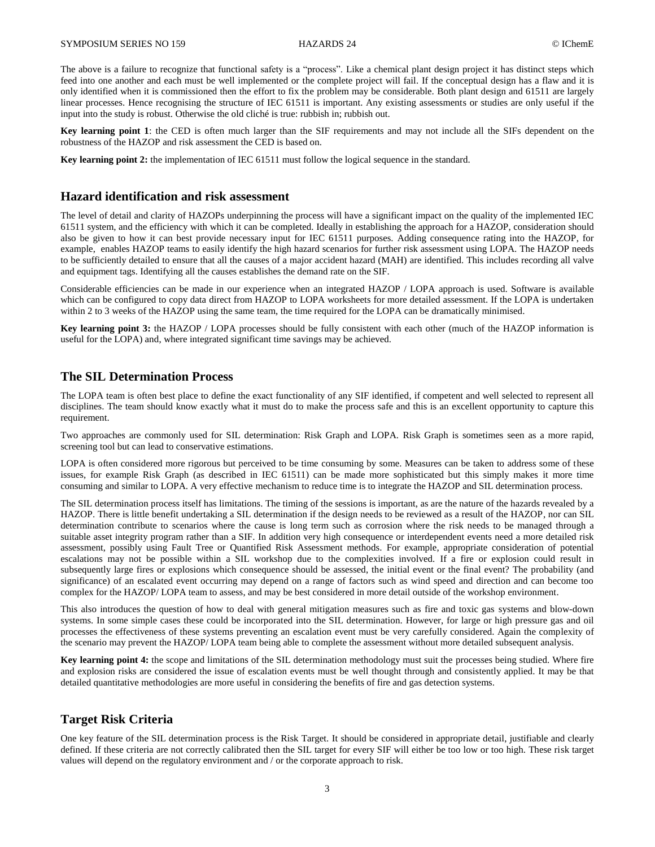The above is a failure to recognize that functional safety is a "process". Like a chemical plant design project it has distinct steps which feed into one another and each must be well implemented or the complete project will fail. If the conceptual design has a flaw and it is only identified when it is commissioned then the effort to fix the problem may be considerable. Both plant design and 61511 are largely linear processes. Hence recognising the structure of IEC 61511 is important. Any existing assessments or studies are only useful if the input into the study is robust. Otherwise the old cliché is true: rubbish in; rubbish out.

**Key learning point 1**: the CED is often much larger than the SIF requirements and may not include all the SIFs dependent on the robustness of the HAZOP and risk assessment the CED is based on.

**Key learning point 2:** the implementation of IEC 61511 must follow the logical sequence in the standard.

## **Hazard identification and risk assessment**

The level of detail and clarity of HAZOPs underpinning the process will have a significant impact on the quality of the implemented IEC 61511 system, and the efficiency with which it can be completed. Ideally in establishing the approach for a HAZOP, consideration should also be given to how it can best provide necessary input for IEC 61511 purposes. Adding consequence rating into the HAZOP, for example, enables HAZOP teams to easily identify the high hazard scenarios for further risk assessment using LOPA. The HAZOP needs to be sufficiently detailed to ensure that all the causes of a major accident hazard (MAH) are identified. This includes recording all valve and equipment tags. Identifying all the causes establishes the demand rate on the SIF.

Considerable efficiencies can be made in our experience when an integrated HAZOP / LOPA approach is used. Software is available which can be configured to copy data direct from HAZOP to LOPA worksheets for more detailed assessment. If the LOPA is undertaken within 2 to 3 weeks of the HAZOP using the same team, the time required for the LOPA can be dramatically minimised.

**Key learning point 3:** the HAZOP / LOPA processes should be fully consistent with each other (much of the HAZOP information is useful for the LOPA) and, where integrated significant time savings may be achieved.

## **The SIL Determination Process**

The LOPA team is often best place to define the exact functionality of any SIF identified, if competent and well selected to represent all disciplines. The team should know exactly what it must do to make the process safe and this is an excellent opportunity to capture this requirement.

Two approaches are commonly used for SIL determination: Risk Graph and LOPA. Risk Graph is sometimes seen as a more rapid, screening tool but can lead to conservative estimations.

LOPA is often considered more rigorous but perceived to be time consuming by some. Measures can be taken to address some of these issues, for example Risk Graph (as described in IEC 61511) can be made more sophisticated but this simply makes it more time consuming and similar to LOPA. A very effective mechanism to reduce time is to integrate the HAZOP and SIL determination process.

The SIL determination process itself has limitations. The timing of the sessions is important, as are the nature of the hazards revealed by a HAZOP. There is little benefit undertaking a SIL determination if the design needs to be reviewed as a result of the HAZOP, nor can SIL determination contribute to scenarios where the cause is long term such as corrosion where the risk needs to be managed through a suitable asset integrity program rather than a SIF. In addition very high consequence or interdependent events need a more detailed risk assessment, possibly using Fault Tree or Quantified Risk Assessment methods. For example, appropriate consideration of potential escalations may not be possible within a SIL workshop due to the complexities involved. If a fire or explosion could result in subsequently large fires or explosions which consequence should be assessed, the initial event or the final event? The probability (and significance) of an escalated event occurring may depend on a range of factors such as wind speed and direction and can become too complex for the HAZOP/ LOPA team to assess, and may be best considered in more detail outside of the workshop environment.

This also introduces the question of how to deal with general mitigation measures such as fire and toxic gas systems and blow-down systems. In some simple cases these could be incorporated into the SIL determination. However, for large or high pressure gas and oil processes the effectiveness of these systems preventing an escalation event must be very carefully considered. Again the complexity of the scenario may prevent the HAZOP/ LOPA team being able to complete the assessment without more detailed subsequent analysis.

**Key learning point 4:** the scope and limitations of the SIL determination methodology must suit the processes being studied. Where fire and explosion risks are considered the issue of escalation events must be well thought through and consistently applied. It may be that detailed quantitative methodologies are more useful in considering the benefits of fire and gas detection systems.

#### **Target Risk Criteria**

One key feature of the SIL determination process is the Risk Target. It should be considered in appropriate detail, justifiable and clearly defined. If these criteria are not correctly calibrated then the SIL target for every SIF will either be too low or too high. These risk target values will depend on the regulatory environment and / or the corporate approach to risk.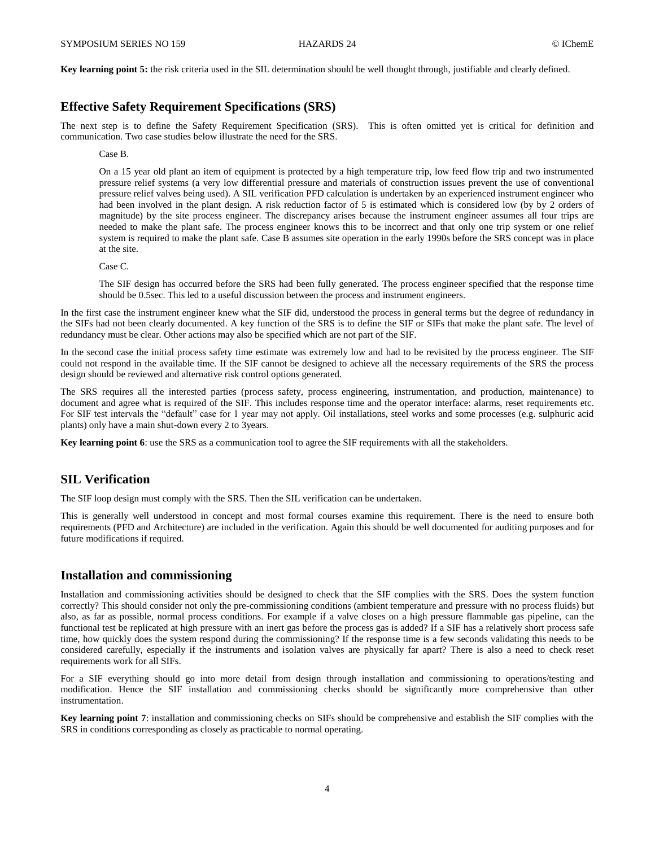**Key learning point 5:** the risk criteria used in the SIL determination should be well thought through, justifiable and clearly defined.

#### **Effective Safety Requirement Specifications (SRS)**

The next step is to define the Safety Requirement Specification (SRS). This is often omitted yet is critical for definition and communication. Two case studies below illustrate the need for the SRS.

Case B.

On a 15 year old plant an item of equipment is protected by a high temperature trip, low feed flow trip and two instrumented pressure relief systems (a very low differential pressure and materials of construction issues prevent the use of conventional pressure relief valves being used). A SIL verification PFD calculation is undertaken by an experienced instrument engineer who had been involved in the plant design. A risk reduction factor of 5 is estimated which is considered low (by by 2 orders of magnitude) by the site process engineer. The discrepancy arises because the instrument engineer assumes all four trips are needed to make the plant safe. The process engineer knows this to be incorrect and that only one trip system or one relief system is required to make the plant safe. Case B assumes site operation in the early 1990s before the SRS concept was in place at the site.

Case C.

The SIF design has occurred before the SRS had been fully generated. The process engineer specified that the response time should be 0.5sec. This led to a useful discussion between the process and instrument engineers.

In the first case the instrument engineer knew what the SIF did, understood the process in general terms but the degree of redundancy in the SIFs had not been clearly documented. A key function of the SRS is to define the SIF or SIFs that make the plant safe. The level of redundancy must be clear. Other actions may also be specified which are not part of the SIF.

In the second case the initial process safety time estimate was extremely low and had to be revisited by the process engineer. The SIF could not respond in the available time. If the SIF cannot be designed to achieve all the necessary requirements of the SRS the process design should be reviewed and alternative risk control options generated.

The SRS requires all the interested parties (process safety, process engineering, instrumentation, and production, maintenance) to document and agree what is required of the SIF. This includes response time and the operator interface: alarms, reset requirements etc. For SIF test intervals the "default" case for 1 year may not apply. Oil installations, steel works and some processes (e.g. sulphuric acid plants) only have a main shut-down every 2 to 3years.

**Key learning point 6**: use the SRS as a communication tool to agree the SIF requirements with all the stakeholders.

# **SIL Verification**

The SIF loop design must comply with the SRS. Then the SIL verification can be undertaken.

This is generally well understood in concept and most formal courses examine this requirement. There is the need to ensure both requirements (PFD and Architecture) are included in the verification. Again this should be well documented for auditing purposes and for future modifications if required.

## **Installation and commissioning**

Installation and commissioning activities should be designed to check that the SIF complies with the SRS. Does the system function correctly? This should consider not only the pre-commissioning conditions (ambient temperature and pressure with no process fluids) but also, as far as possible, normal process conditions. For example if a valve closes on a high pressure flammable gas pipeline, can the functional test be replicated at high pressure with an inert gas before the process gas is added? If a SIF has a relatively short process safe time, how quickly does the system respond during the commissioning? If the response time is a few seconds validating this needs to be considered carefully, especially if the instruments and isolation valves are physically far apart? There is also a need to check reset requirements work for all SIFs.

For a SIF everything should go into more detail from design through installation and commissioning to operations/testing and modification. Hence the SIF installation and commissioning checks should be significantly more comprehensive than other instrumentation.

**Key learning point 7**: installation and commissioning checks on SIFs should be comprehensive and establish the SIF complies with the SRS in conditions corresponding as closely as practicable to normal operating.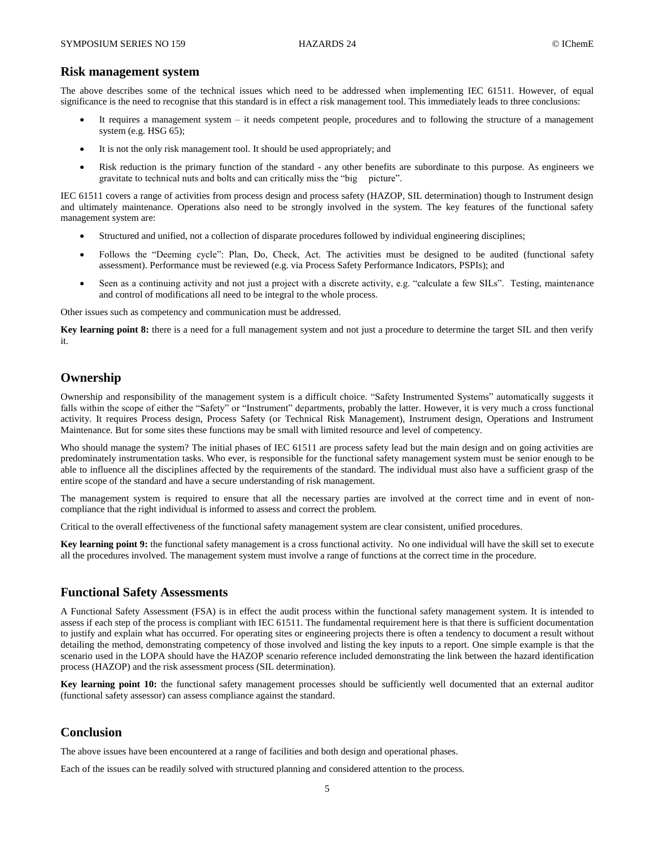#### **Risk management system**

The above describes some of the technical issues which need to be addressed when implementing IEC 61511. However, of equal significance is the need to recognise that this standard is in effect a risk management tool. This immediately leads to three conclusions:

- It requires a management system it needs competent people, procedures and to following the structure of a management system (e.g. HSG 65);
- It is not the only risk management tool. It should be used appropriately; and
- Risk reduction is the primary function of the standard any other benefits are subordinate to this purpose. As engineers we gravitate to technical nuts and bolts and can critically miss the "big picture".

IEC 61511 covers a range of activities from process design and process safety (HAZOP, SIL determination) though to Instrument design and ultimately maintenance. Operations also need to be strongly involved in the system. The key features of the functional safety management system are:

- Structured and unified, not a collection of disparate procedures followed by individual engineering disciplines;
- Follows the "Deeming cycle": Plan, Do, Check, Act. The activities must be designed to be audited (functional safety assessment). Performance must be reviewed (e.g. via Process Safety Performance Indicators, PSPIs); and
- Seen as a continuing activity and not just a project with a discrete activity, e.g. "calculate a few SILs". Testing, maintenance and control of modifications all need to be integral to the whole process.

Other issues such as competency and communication must be addressed.

**Key learning point 8:** there is a need for a full management system and not just a procedure to determine the target SIL and then verify it.

# **Ownership**

Ownership and responsibility of the management system is a difficult choice. "Safety Instrumented Systems" automatically suggests it falls within the scope of either the "Safety" or "Instrument" departments, probably the latter. However, it is very much a cross functional activity. It requires Process design, Process Safety (or Technical Risk Management), Instrument design, Operations and Instrument Maintenance. But for some sites these functions may be small with limited resource and level of competency.

Who should manage the system? The initial phases of IEC 61511 are process safety lead but the main design and on going activities are predominately instrumentation tasks. Who ever, is responsible for the functional safety management system must be senior enough to be able to influence all the disciplines affected by the requirements of the standard. The individual must also have a sufficient grasp of the entire scope of the standard and have a secure understanding of risk management.

The management system is required to ensure that all the necessary parties are involved at the correct time and in event of noncompliance that the right individual is informed to assess and correct the problem.

Critical to the overall effectiveness of the functional safety management system are clear consistent, unified procedures.

**Key learning point 9:** the functional safety management is a cross functional activity. No one individual will have the skill set to execute all the procedures involved. The management system must involve a range of functions at the correct time in the procedure.

#### **Functional Safety Assessments**

A Functional Safety Assessment (FSA) is in effect the audit process within the functional safety management system. It is intended to assess if each step of the process is compliant with IEC 61511. The fundamental requirement here is that there is sufficient documentation to justify and explain what has occurred. For operating sites or engineering projects there is often a tendency to document a result without detailing the method, demonstrating competency of those involved and listing the key inputs to a report. One simple example is that the scenario used in the LOPA should have the HAZOP scenario reference included demonstrating the link between the hazard identification process (HAZOP) and the risk assessment process (SIL determination).

**Key learning point 10:** the functional safety management processes should be sufficiently well documented that an external auditor (functional safety assessor) can assess compliance against the standard.

#### **Conclusion**

The above issues have been encountered at a range of facilities and both design and operational phases.

Each of the issues can be readily solved with structured planning and considered attention to the process.